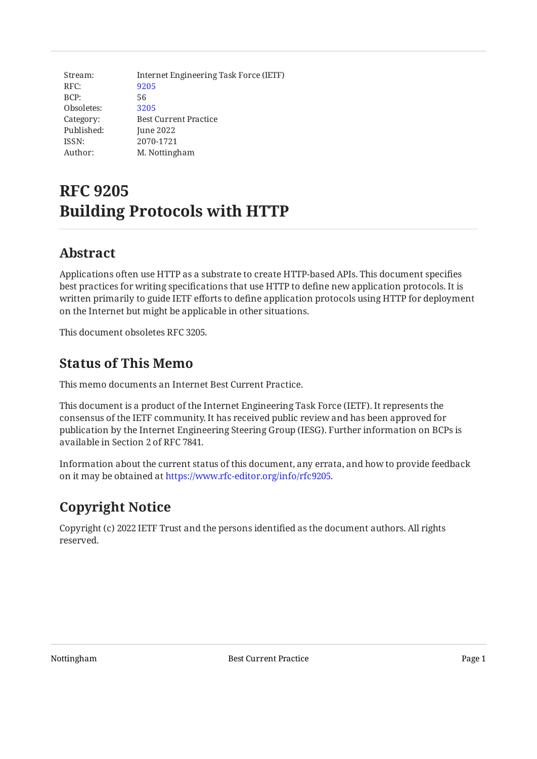| Stream:    | Internet Engineering Task Force (IETF) |
|------------|----------------------------------------|
| RFC:       | 9205                                   |
| BCP:       | 56                                     |
| Obsoletes: | 3205                                   |
| Category:  | <b>Best Current Practice</b>           |
| Published: | June 2022                              |
| ISSN:      | 2070-1721                              |
| Author:    | M. Nottingham                          |

# **RFC 9205 Building Protocols with HTTP**

## <span id="page-0-0"></span>**[Abstract](#page-0-0)**

Applications often use HTTP as a substrate to create HTTP-based APIs. This document specifies best practices for writing specifications that use HTTP to define new application protocols. It is written primarily to guide IETF efforts to define application protocols using HTTP for deployment on the Internet but might be applicable in other situations.

<span id="page-0-1"></span>This document obsoletes RFC 3205.

## **[Status of This Memo](#page-0-1)**

This memo documents an Internet Best Current Practice.

This document is a product of the Internet Engineering Task Force (IETF). It represents the consensus of the IETF community. It has received public review and has been approved for publication by the Internet Engineering Steering Group (IESG). Further information on BCPs is available in Section 2 of RFC 7841.

Information about the current status of this document, any errata, and how to provide feedback on it may be obtained at [https://www.rfc-editor.org/info/rfc9205.](https://www.rfc-editor.org/info/rfc9205)

## <span id="page-0-2"></span>**[Copyright Notice](#page-0-2)**

Copyright (c) 2022 IETF Trust and the persons identified as the document authors. All rights reserved.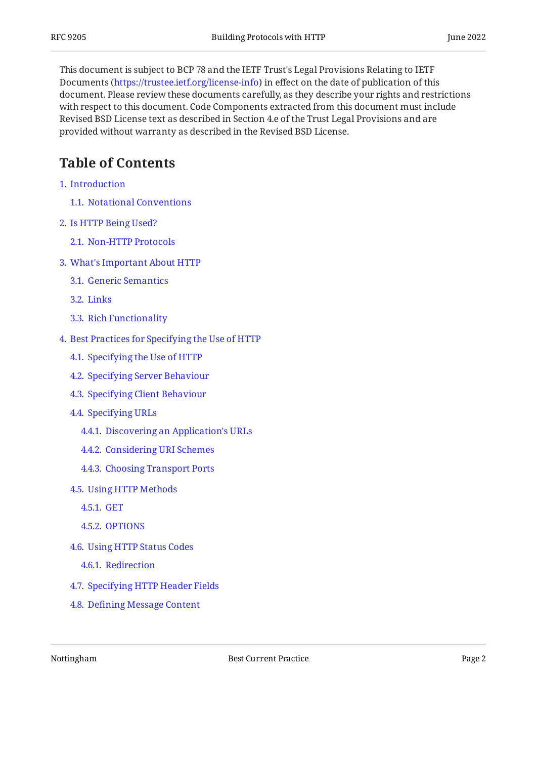This document is subject to BCP 78 and the IETF Trust's Legal Provisions Relating to IETF Documents (<https://trustee.ietf.org/license-info>) in effect on the date of publication of this document. Please review these documents carefully, as they describe your rights and restrictions with respect to this document. Code Components extracted from this document must include Revised BSD License text as described in Section 4.e of the Trust Legal Provisions and are provided without warranty as described in the Revised BSD License.

## <span id="page-1-0"></span>**[Table of Contents](#page-1-0)**

- [1](#page-2-0). [Introduction](#page-2-0)
	- [1.1.](#page-3-0) [Notational Conventions](#page-3-0)
- [2](#page-4-0). [Is HTTP Being Used?](#page-4-0)
	- [2.1.](#page-4-1) [Non-HTTP Protocols](#page-4-1)
- [3](#page-4-2). [What's Important About HTTP](#page-4-2)
	- [3.1.](#page-4-3) [Generic Semantics](#page-4-3)
	- [3.2.](#page-5-0) [Links](#page-5-0)
	- [3.3.](#page-6-0) [Rich Functionality](#page-6-0)
- [4](#page-6-1). [Best Practices for Specifying the Use of HTTP](#page-6-1)
	- [4.1.](#page-6-2) [Specifying the Use of HTTP](#page-6-2)
	- [4.2.](#page-7-0) [Specifying Server Behaviour](#page-7-0)
	- [4.3.](#page-8-0) [Specifying Client Behaviour](#page-8-0)
	- [4.4.](#page-9-0) [Specifying URLs](#page-9-0)
		- [4.4.1](#page-9-1). [Discovering an Application's URLs](#page-9-1)
		- [4.4.2](#page-10-0). [Considering URI Schemes](#page-10-0)
		- [4.4.3](#page-10-1). [Choosing Transport Ports](#page-10-1)
	- [4.5.](#page-11-0) [Using HTTP Methods](#page-11-0)
		- [4.5.1](#page-11-1). [GET](#page-11-1)
		- [4.5.2](#page-12-0). [OPTIONS](#page-12-0)
	- [4.6.](#page-12-1) [Using HTTP Status Codes](#page-12-1)
		- [4.6.1](#page-14-0). [Redirection](#page-14-0)
	- [4.7.](#page-15-0) [Specifying HTTP Header Fields](#page-15-0)
	- [4.8.](#page-15-1) Defi[ning Message Content](#page-15-1)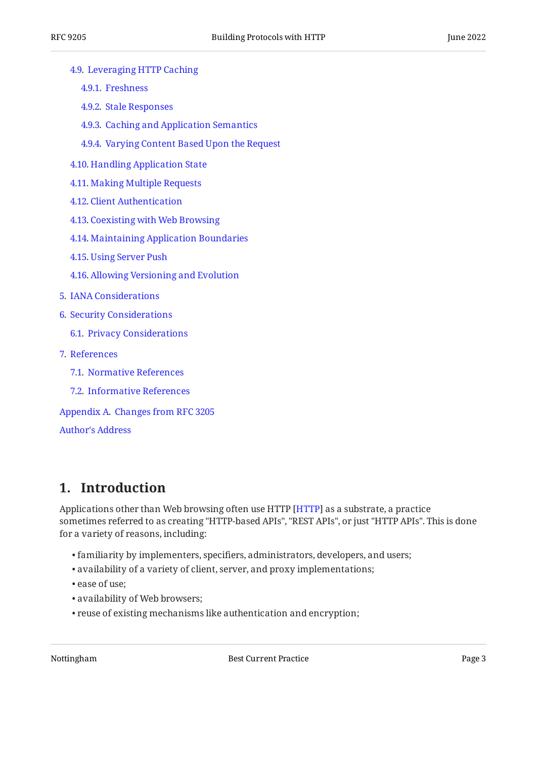- [4.9.](#page-16-0) [Leveraging HTTP Caching](#page-16-0)
	- [4.9.1](#page-16-1). [Freshness](#page-16-1)
	- [4.9.2](#page-17-0). [Stale Responses](#page-17-0)
	- [4.9.3](#page-17-1). [Caching and Application Semantics](#page-17-1)
	- [4.9.4](#page-17-2). [Varying Content Based Upon the Request](#page-17-2)
- [4.10.](#page-18-0) [Handling Application State](#page-18-0)
- [4.11.](#page-18-1) [Making Multiple Requests](#page-18-1)
- [4.12.](#page-18-2) [Client Authentication](#page-18-2)
- [4.13.](#page-19-0) [Coexisting with Web Browsing](#page-19-0)
- [4.14.](#page-20-0) [Maintaining Application Boundaries](#page-20-0)
- [4.15.](#page-21-0) [Using Server Push](#page-21-0)
- [4.16.](#page-21-1) [Allowing Versioning and Evolution](#page-21-1)
- [5](#page-21-2). [IANA Considerations](#page-21-2)
- [6](#page-22-0). [Security Considerations](#page-22-0)
	- [6.1.](#page-22-1) [Privacy Considerations](#page-22-1)
- [7](#page-23-0). [References](#page-23-0)
	- [7.1.](#page-23-1) [Normative References](#page-23-1)
	- [7.2.](#page-24-0) [Informative References](#page-24-0)

[Appendix A.](#page-26-0) [Changes from RFC 3205](#page-26-0)

#### [Author's Address](#page-26-1)

## <span id="page-2-0"></span>**[1. Introduction](#page-2-0)**

Applications other than Web browsing often use HTTP [HTTP] as a substrate, a practice sometimes referred to as creating "HTTP-based APIs", "REST APIs", or just "HTTP APIs". This is done for a variety of reasons, including:

- familiarity by implementers, specifiers, administrators, developers, and users; •
- availability of a variety of client, server, and proxy implementations; •
- ease of use;
- availability of Web browsers; •
- reuse of existing mechanisms like authentication and encryption; •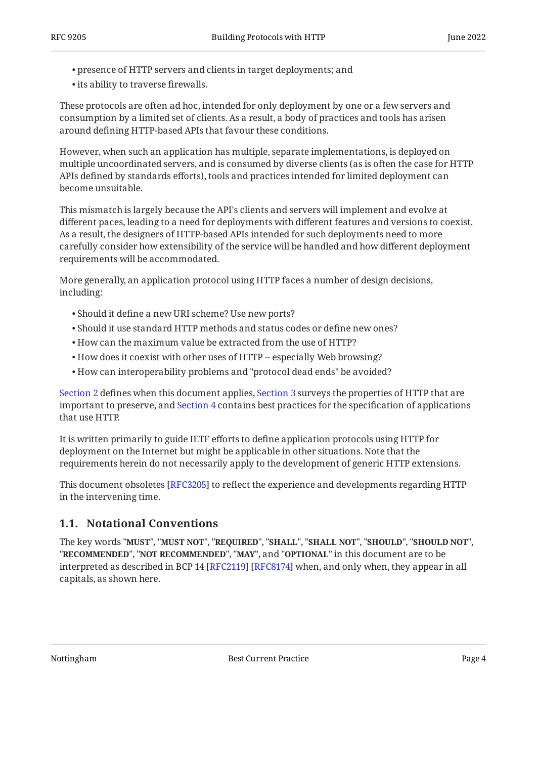- presence of HTTP servers and clients in target deployments; and •
- its ability to traverse firewalls.

These protocols are often ad hoc, intended for only deployment by one or a few servers and consumption by a limited set of clients. As a result, a body of practices and tools has arisen around defining HTTP-based APIs that favour these conditions.

However, when such an application has multiple, separate implementations, is deployed on multiple uncoordinated servers, and is consumed by diverse clients (as is often the case for HTTP APIs defined by standards efforts), tools and practices intended for limited deployment can become unsuitable.

This mismatch is largely because the API's clients and servers will implement and evolve at different paces, leading to a need for deployments with different features and versions to coexist. As a result, the designers of HTTP-based APIs intended for such deployments need to more carefully consider how extensibility of the service will be handled and how different deployment requirements will be accommodated.

More generally, an application protocol using HTTP faces a number of design decisions, including:

- Should it define a new URI scheme? Use new ports? •
- Should it use standard HTTP methods and status codes or define new ones? •
- How can the maximum value be extracted from the use of HTTP? •
- How does it coexist with other uses of HTTP -- especially Web browsing?
- How can interoperability problems and "protocol dead ends" be avoided? •

[Section 2](#page-4-0) defines when this document applies, [Section 3](#page-4-2) surveys the properties of HTTP that are important to preserve, and [Section 4](#page-6-1) contains best practices for the specification of applications that use HTTP.

It is written primarily to guide IETF efforts to define application protocols using HTTP for deployment on the Internet but might be applicable in other situations. Note that the requirements herein do not necessarily apply to the development of generic HTTP extensions.

This document obsoletes [[RFC3205\]](#page-25-0) to reflect the experience and developments regarding HTTP in the intervening time.

### <span id="page-3-0"></span>**[1.1. Notational Conventions](#page-3-0)**

The key words "MUST", "MUST NOT", "REQUIRED", "SHALL", "SHALL NOT", "SHOULD", "SHOULD NOT", "**RECOMMENDED", "NOT RECOMMENDED", "MAY",** and "OPTIONAL" in this document are to be interpreted as described in BCP 14 [RFC2119] [RFC8174] when, and only when, they appear in all capitals, as shown here.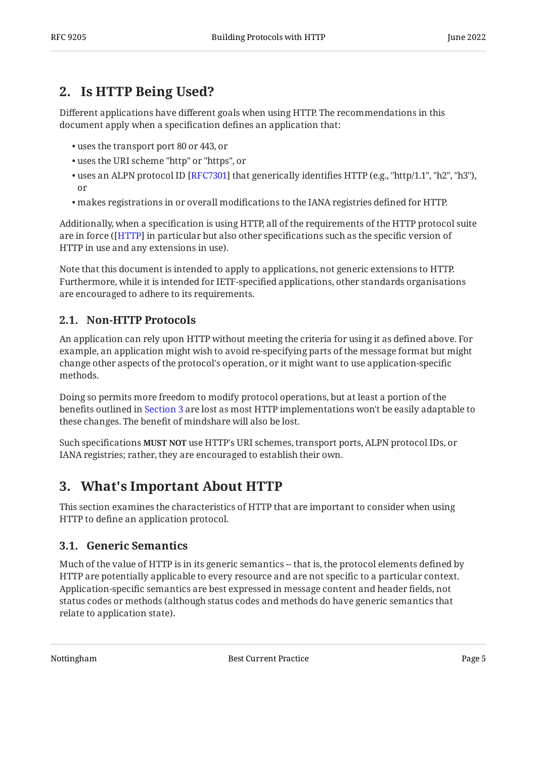## <span id="page-4-0"></span>**[2. Is HTTP Being Used?](#page-4-0)**

Different applications have different goals when using HTTP. The recommendations in this document apply when a specification defines an application that:

- uses the transport port 80 or 443, or •
- uses the URI scheme "http" or "https", or •
- $\bullet$  uses an ALPN protocol ID [RFC7301] that generically identifies HTTP (e.g., "http/1.1", "h2", "h3"), or
- makes registrations in or overall modifications to the IANA registries defined for HTTP. •

Additionally, when a specification is using HTTP, all of the requirements of the HTTP protocol suite are in force ([HTTP] in particular but also other specifications such as the specific version of HTTP in use and any extensions in use).

Note that this document is intended to apply to applications, not generic extensions to HTTP. Furthermore, while it is intended for IETF-specified applications, other standards organisations are encouraged to adhere to its requirements.

### <span id="page-4-1"></span>**[2.1. Non-HTTP Protocols](#page-4-1)**

An application can rely upon HTTP without meeting the criteria for using it as defined above. For example, an application might wish to avoid re-specifying parts of the message format but might change other aspects of the protocol's operation, or it might want to use application-specific methods.

Doing so permits more freedom to modify protocol operations, but at least a portion of the benefits outlined in [Section 3](#page-4-2) are lost as most HTTP implementations won't be easily adaptable to these changes. The benefit of mindshare will also be lost.

<span id="page-4-2"></span>Such specifications **MUST NOT** use HTTP's URI schemes, transport ports, ALPN protocol IDs, or IANA registries; rather, they are encouraged to establish their own.

## **[3. What's Important About HTTP](#page-4-2)**

This section examines the characteristics of HTTP that are important to consider when using HTTP to define an application protocol.

### <span id="page-4-3"></span>**[3.1. Generic Semantics](#page-4-3)**

Much of the value of HTTP is in its generic semantics -- that is, the protocol elements defined by HTTP are potentially applicable to every resource and are not specific to a particular context. Application-specific semantics are best expressed in message content and header fields, not status codes or methods (although status codes and methods do have generic semantics that relate to application state).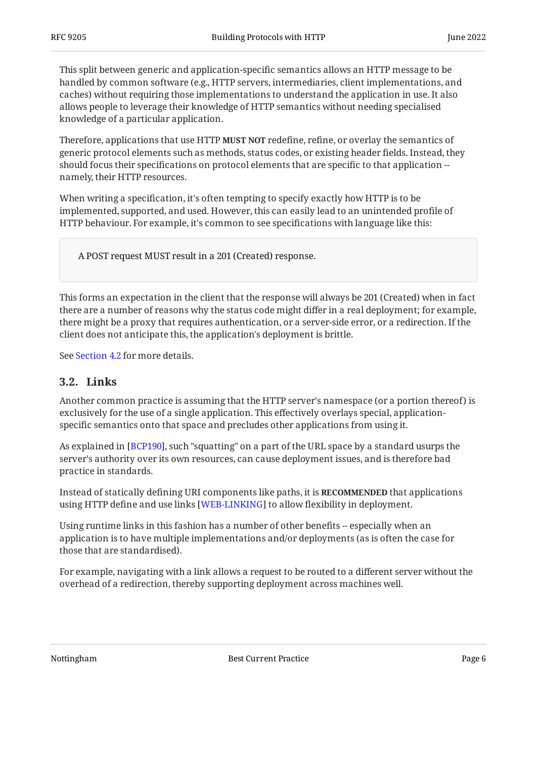This split between generic and application-specific semantics allows an HTTP message to be handled by common software (e.g., HTTP servers, intermediaries, client implementations, and caches) without requiring those implementations to understand the application in use. It also allows people to leverage their knowledge of HTTP semantics without needing specialised knowledge of a particular application.

Therefore, applications that use HTTP **MUST NOT** redefine, refine, or overlay the semantics of generic protocol elements such as methods, status codes, or existing header fields. Instead, they should focus their specifications on protocol elements that are specific to that application - namely, their HTTP resources.

When writing a specification, it's often tempting to specify exactly how HTTP is to be implemented, supported, and used. However, this can easily lead to an unintended profile of HTTP behaviour. For example, it's common to see specifications with language like this:

A POST request MUST result in a 201 (Created) response.

This forms an expectation in the client that the response will always be 201 (Created) when in fact there are a number of reasons why the status code might differ in a real deployment; for example, there might be a proxy that requires authentication, or a server-side error, or a redirection. If the client does not anticipate this, the application's deployment is brittle.

<span id="page-5-0"></span>See [Section 4.2](#page-7-0) for more details.

#### **[3.2. Links](#page-5-0)**

Another common practice is assuming that the HTTP server's namespace (or a portion thereof) is exclusively for the use of a single application. This effectively overlays special, applicationspecific semantics onto that space and precludes other applications from using it.

As explained in [[BCP190](#page-23-5)], such "squatting" on a part of the URL space by a standard usurps the server's authority over its own resources, can cause deployment issues, and is therefore bad practice in standards.

Instead of statically defining URI components like paths, it is **RECOMMENDED** that applications using HTTP define and use links [WEB-LINKING] to allow flexibility in deployment.

Using runtime links in this fashion has a number of other benefits -- especially when an application is to have multiple implementations and/or deployments (as is often the case for those that are standardised).

For example, navigating with a link allows a request to be routed to a different server without the overhead of a redirection, thereby supporting deployment across machines well.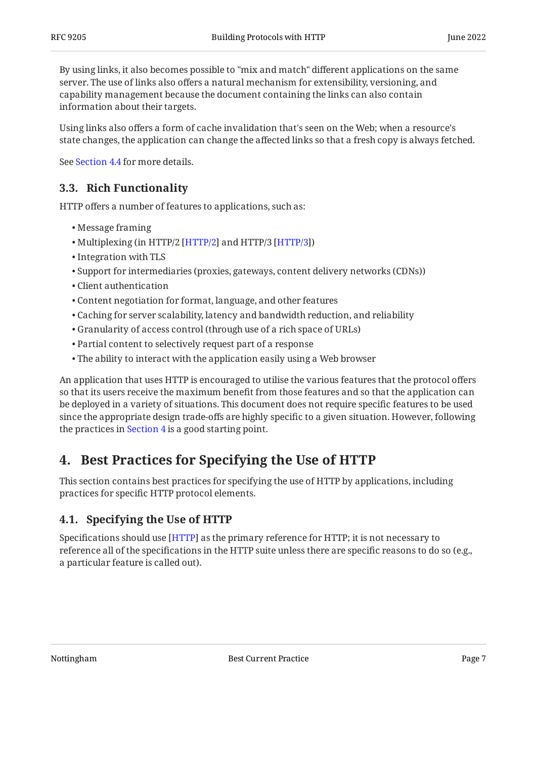By using links, it also becomes possible to "mix and match" different applications on the same server. The use of links also offers a natural mechanism for extensibility, versioning, and capability management because the document containing the links can also contain information about their targets.

Using links also offers a form of cache invalidation that's seen on the Web; when a resource's state changes, the application can change the affected links so that a fresh copy is always fetched.

<span id="page-6-0"></span>See [Section 4.4](#page-9-0) for more details.

### **[3.3. Rich Functionality](#page-6-0)**

HTTP offers a number of features to applications, such as:

- Message framing •
- Multiplexing (in HTTP/2 [HTTP/2] and HTTP/3 [HTTP/3])
- Integration with TLS
- Support for intermediaries (proxies, gateways, content delivery networks (CDNs))
- Client authentication •
- Content negotiation for format, language, and other features •
- Caching for server scalability, latency and bandwidth reduction, and reliability •
- Granularity of access control (through use of a rich space of URLs) •
- Partial content to selectively request part of a response •
- The ability to interact with the application easily using a Web browser •

An application that uses HTTP is encouraged to utilise the various features that the protocol offers so that its users receive the maximum benefit from those features and so that the application can be deployed in a variety of situations. This document does not require specific features to be used since the appropriate design trade-offs are highly specific to a given situation. However, following the practices in [Section 4](#page-6-1) is a good starting point.

## <span id="page-6-1"></span>**[4. Best Practices for Specifying the Use of HTTP](#page-6-1)**

This section contains best practices for specifying the use of HTTP by applications, including practices for specific HTTP protocol elements.

## <span id="page-6-2"></span>**[4.1. Specifying the Use of HTTP](#page-6-2)**

Specifications should use [HTTP] as the primary reference for HTTP; it is not necessary to reference all of the specifications in the HTTP suite unless there are specific reasons to do so (e.g., a particular feature is called out).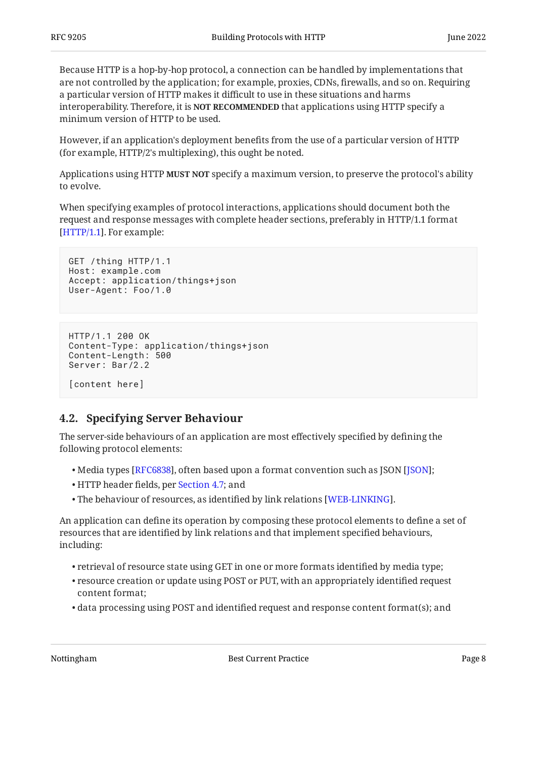Because HTTP is a hop-by-hop protocol, a connection can be handled by implementations that are not controlled by the application; for example, proxies, CDNs, firewalls, and so on. Requiring a particular version of HTTP makes it difficult to use in these situations and harms **interoperability. Therefore, it is NOT RECOMMENDED** that applications using HTTP specify a minimum version of HTTP to be used.

However, if an application's deployment benefits from the use of a particular version of HTTP (for example, HTTP/2's multiplexing), this ought be noted.

Applications using HTTP **MUST NOT** specify a maximum version, to preserve the protocol's ability to evolve.

When specifying examples of protocol interactions, applications should document both the request and response messages with complete header sections, preferably in HTTP/1.1 format [[HTTP/1.1\]](#page-24-4). For example:

```
GET /thing HTTP/1.1
Host: example.com
Accept: application/things+json
User-Agent: Foo/1.0
```

```
HTTP/1.1 200 OK
Content-Type: application/things+json
Content-Length: 500
Server: Bar/2.2
[content here]
```
### <span id="page-7-0"></span>**[4.2. Specifying Server Behaviour](#page-7-0)**

The server-side behaviours of an application are most effectively specified by defining the following protocol elements:

- $\bullet$  Media types [[RFC6838\]](#page-23-6), often based upon a format convention such as JSON [JSON];
- HTTP header fields, per [Section 4.7;](#page-15-0) and •
- $\bullet$  The behaviour of resources, as identified by link relations [WEB-LINKING].  $\,$

An application can define its operation by composing these protocol elements to define a set of resources that are identified by link relations and that implement specified behaviours, including:

- $\bullet$  retrieval of resource state using GET in one or more formats identified by media type;
- $\bullet$  resource creation or update using POST or PUT, with an appropriately identified request content format;
- $\bullet$  data processing using POST and identified request and response content format(s); and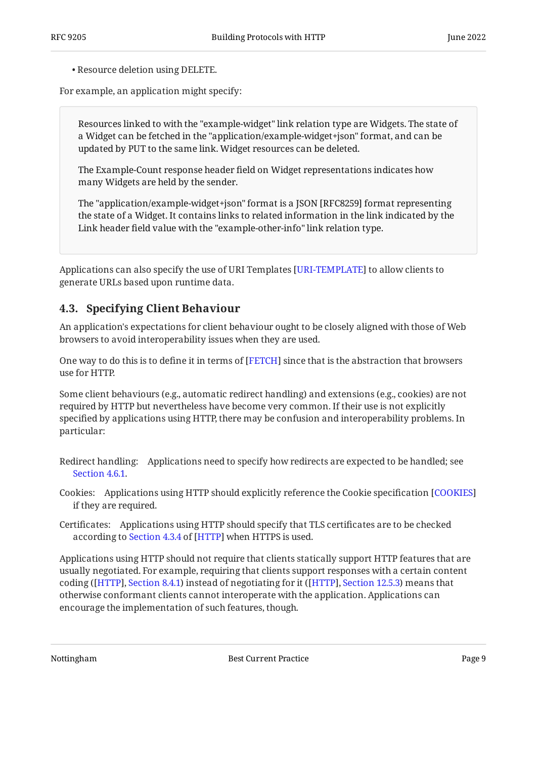Resource deletion using DELETE. •

For example, an application might specify:

Resources linked to with the "example-widget" link relation type are Widgets. The state of a Widget can be fetched in the "application/example-widget+json" format, and can be updated by PUT to the same link. Widget resources can be deleted.

The Example-Count response header field on Widget representations indicates how many Widgets are held by the sender.

The "application/example-widget+json" format is a JSON [RFC8259] format representing the state of a Widget. It contains links to related information in the link indicated by the Link header field value with the "example-other-info" link relation type.

Applications can also specify the use of URI Templates [URI-TEMPLATE] to allow clients to generate URLs based upon runtime data.

### <span id="page-8-0"></span>**[4.3. Specifying Client Behaviour](#page-8-0)**

An application's expectations for client behaviour ought to be closely aligned with those of Web browsers to avoid interoperability issues when they are used.

One way to do this is to define it in terms of [[FETCH](#page-24-6)] since that is the abstraction that browsers use for HTTP.

Some client behaviours (e.g., automatic redirect handling) and extensions (e.g., cookies) are not required by HTTP but nevertheless have become very common. If their use is not explicitly specified by applications using HTTP, there may be confusion and interoperability problems. In particular:

- Redirect handling: Applications need to specify how redirects are expected to be handled; see [Section 4.6.1.](#page-14-0)
- Cookies: Applications using HTTP should explicitly reference the Cookie specification [[COOKIES\]](#page-24-7) if they are required.

Certificates: Applications using HTTP should specify that TLS certificates are to be checked accordingto Section 4.3.4 of [HTTP] when HTTPS is used.

Applications using HTTP should not require that clients statically support HTTP features that are usually negotiated. For example, requiring that clients support responses with a certain content coding ([[HTTP](#page-23-2)], [Section 8.4.1](https://www.rfc-editor.org/rfc/rfc9110#section-8.4.1)) instead of negotiating for it ([[HTTP\]](#page-23-2), [Section 12.5.3](https://www.rfc-editor.org/rfc/rfc9110#section-12.5.3)) means that otherwise conformant clients cannot interoperate with the application. Applications can encourage the implementation of such features, though.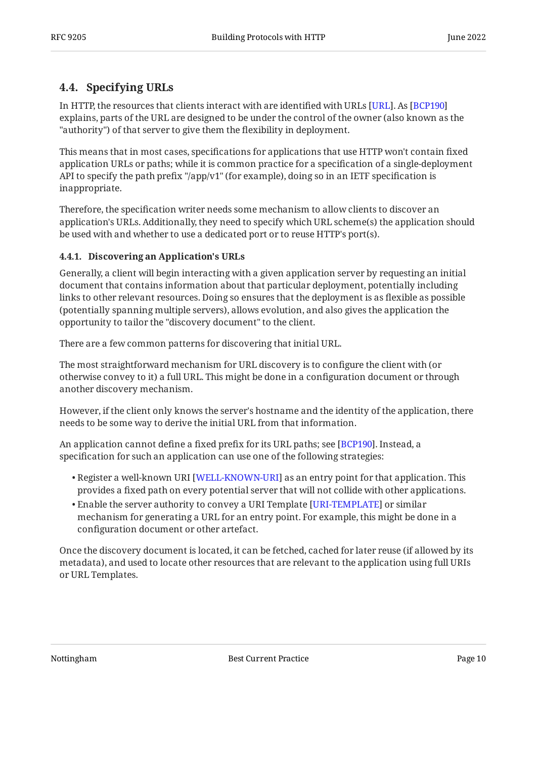## <span id="page-9-0"></span>**[4.4. Specifying URLs](#page-9-0)**

In HTTP, the resources that clients interact with are identified with URLs [URL]. As [\[BCP190](#page-23-5)]  $\,$ explains, parts of the URL are designed to be under the control of the owner (also known as the "authority") of that server to give them the flexibility in deployment.

This means that in most cases, specifications for applications that use HTTP won't contain fixed application URLs or paths; while it is common practice for a specification of a single-deployment API to specify the path prefix "/app/v1" (for example), doing so in an IETF specification is inappropriate.

Therefore, the specification writer needs some mechanism to allow clients to discover an application's URLs. Additionally, they need to specify which URL scheme(s) the application should be used with and whether to use a dedicated port or to reuse HTTP's port(s).

#### <span id="page-9-1"></span>**[4.4.1. Discovering an Application's URLs](#page-9-1)**

Generally, a client will begin interacting with a given application server by requesting an initial document that contains information about that particular deployment, potentially including links to other relevant resources. Doing so ensures that the deployment is as flexible as possible (potentially spanning multiple servers), allows evolution, and also gives the application the opportunity to tailor the "discovery document" to the client.

There are a few common patterns for discovering that initial URL.

The most straightforward mechanism for URL discovery is to configure the client with (or otherwise convey to it) a full URL. This might be done in a configuration document or through another discovery mechanism.

However, if the client only knows the server's hostname and the identity of the application, there needs to be some way to derive the initial URL from that information.

An application cannot define a fixed prefix for its URL paths; see [[BCP190](#page-23-5)]. Instead, a specification for such an application can use one of the following strategies:

- $\bullet$  Register a well-known URI [WELL-KNOWN-URI] as an entry point for that application. This provides a fixed path on every potential server that will not collide with other applications.
- $\bullet$  Enable the server authority to convey a URI Template [[URI-TEMPLATE\]](#page-26-2) or similar mechanism for generating a URL for an entry point. For example, this might be done in a configuration document or other artefact.

Once the discovery document is located, it can be fetched, cached for later reuse (if allowed by its metadata), and used to locate other resources that are relevant to the application using full URIs or URL Templates.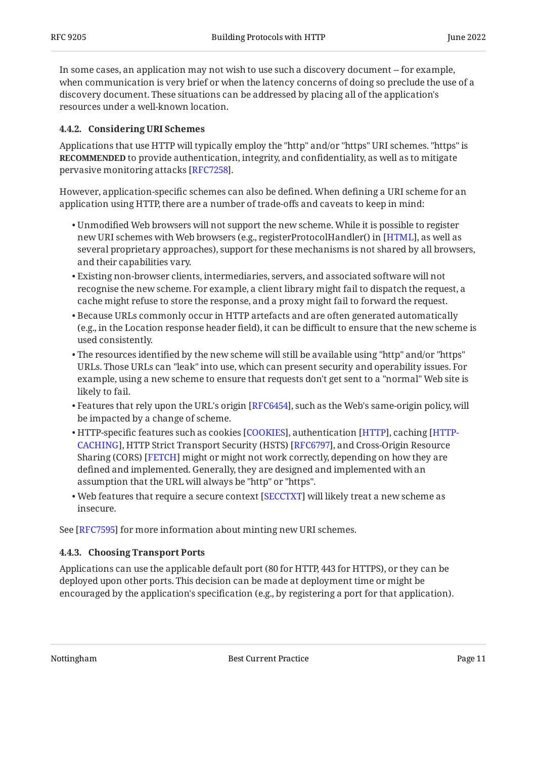In some cases, an application may not wish to use such a discovery document -- for example, when communication is very brief or when the latency concerns of doing so preclude the use of a discovery document. These situations can be addressed by placing all of the application's resources under a well-known location.

#### <span id="page-10-0"></span>**[4.4.2. Considering URI Schemes](#page-10-0)**

Applications that use HTTP will typically employ the "http" and/or "https" URI schemes. "https" is **RECOMMENDED** to provide authentication, integrity, and confidentiality, as well as to mitigate pervasive monitoring attacks [RFC7258].

However, application-specific schemes can also be defined. When defining a URI scheme for an application using HTTP, there are a number of trade-offs and caveats to keep in mind:

- Unmodified Web browsers will not support the new scheme. While it is possible to register new URI schemes with Web browsers (e.g., registerProtocolHandler() in [HTML], as well as several proprietary approaches), support for these mechanisms is not shared by all browsers, and their capabilities vary.
- Existing non-browser clients, intermediaries, servers, and associated software will not recognise the new scheme. For example, a client library might fail to dispatch the request, a cache might refuse to store the response, and a proxy might fail to forward the request.
- $\bullet$  Because URLs commonly occur in HTTP artefacts and are often generated automatically (e.g., in the Location response header field), it can be difficult to ensure that the new scheme is used consistently.
- $\bullet$  The resources identified by the new scheme will still be available using "http" and/or "https" URLs. Those URLs can "leak" into use, which can present security and operability issues. For example, using a new scheme to ensure that requests don't get sent to a "normal" Web site is likely to fail.
- $\bullet$  Features that rely upon the URL's origin [RFC6454], such as the Web's same-origin policy, will be impacted by a change of scheme.
- $\bullet$  HTTP-specific features such as cookies [\[COOKIES](#page-24-7)], authentication [[HTTP\]](#page-23-2), caching [[HTTP-](#page-23-8)[CACHING\]](#page-23-8), HTTP Strict Transport Security (HSTS) [RFC6797], and Cross-Origin Resource Sharing (CORS) [[FETCH](#page-24-6)] might or might not work correctly, depending on how they are defined and implemented. Generally, they are designed and implemented with an assumption that the URL will always be "http" or "https".
- $\bullet$  Web features that require a secure context [SECCTXT] will likely treat a new scheme as insecure.

<span id="page-10-1"></span>See [RFC7595] for more information about minting new URI schemes.

#### **[4.4.3. Choosing Transport Ports](#page-10-1)**

Applications can use the applicable default port (80 for HTTP, 443 for HTTPS), or they can be deployed upon other ports. This decision can be made at deployment time or might be encouraged by the application's specification (e.g., by registering a port for that application).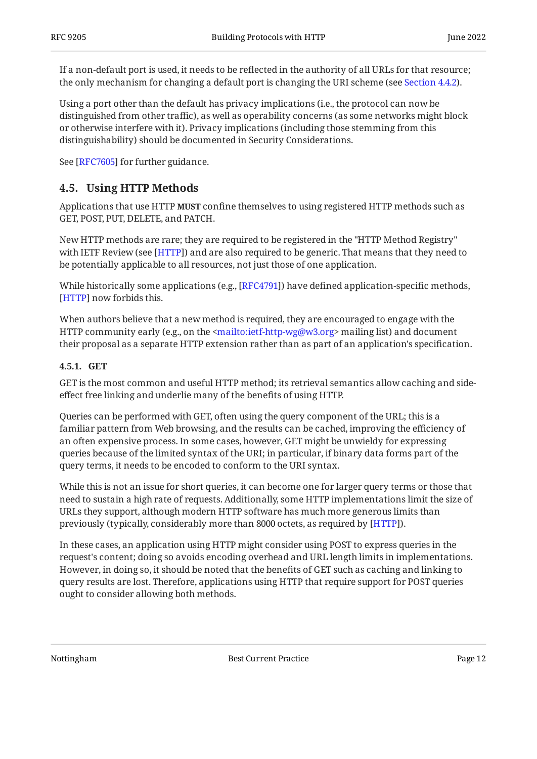If a non-default port is used, it needs to be reflected in the authority of all URLs for that resource; the only mechanism for changing a default port is changing the URI scheme (see [Section 4.4.2](#page-10-0)).

Using a port other than the default has privacy implications (i.e., the protocol can now be distinguished from other traffic), as well as operability concerns (as some networks might block or otherwise interfere with it). Privacy implications (including those stemming from this distinguishability) should be documented in Security Considerations.

<span id="page-11-0"></span>See [RFC7605] for further guidance.

### **[4.5. Using HTTP Methods](#page-11-0)**

Applications that use HTTP **MUST** confine themselves to using registered HTTP methods such as GET, POST, PUT, DELETE, and PATCH.

New HTTP methods are rare; they are required to be registered in the "HTTP Method Registry" with IETF Review (see [HTTP]) and are also required to be generic. That means that they need to be potentially applicable to all resources, not just those of one application.

While historically some applications (e.g.,  $[RFC4791]$ ) have defined application-specific methods, [[HTTP\]](#page-23-2) now forbids this.

When authors believe that a new method is required, they are encouraged to engage with the HTTP community early (e.g., on the <mailto:ietf-http-wg@w3.org> mailing list) and document their proposal as a separate HTTP extension rather than as part of an application's specification.

#### <span id="page-11-1"></span>**[4.5.1. GET](#page-11-1)**

GET is the most common and useful HTTP method; its retrieval semantics allow caching and sideeffect free linking and underlie many of the benefits of using HTTP.

Queries can be performed with GET, often using the query component of the URL; this is a familiar pattern from Web browsing, and the results can be cached, improving the efficiency of an often expensive process. In some cases, however, GET might be unwieldy for expressing queries because of the limited syntax of the URI; in particular, if binary data forms part of the query terms, it needs to be encoded to conform to the URI syntax.

While this is not an issue for short queries, it can become one for larger query terms or those that need to sustain a high rate of requests. Additionally, some HTTP implementations limit the size of URLs they support, although modern HTTP software has much more generous limits than previously (typically, considerably more than 8000 octets, as required by [[HTTP](#page-23-2)]).

In these cases, an application using HTTP might consider using POST to express queries in the request's content; doing so avoids encoding overhead and URL length limits in implementations. However, in doing so, it should be noted that the benefits of GET such as caching and linking to query results are lost. Therefore, applications using HTTP that require support for POST queries ought to consider allowing both methods.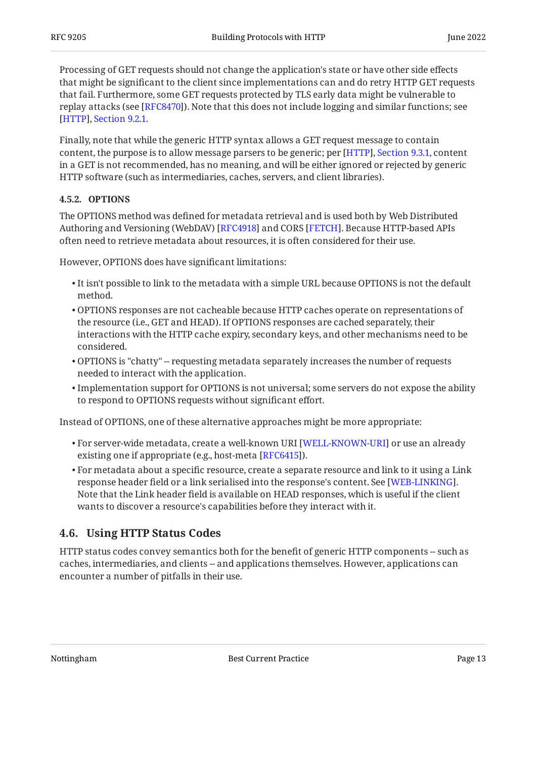Processing of GET requests should not change the application's state or have other side effects that might be significant to the client since implementations can and do retry HTTP GET requests that fail. Furthermore, some GET requests protected by TLS early data might be vulnerable to replay attacks (see [RFC8470]). Note that this does not include logging and similar functions; see . [[HTTP\]](#page-23-2), [Section 9.2.1](https://www.rfc-editor.org/rfc/rfc9110#section-9.2.1)

Finally, note that while the generic HTTP syntax allows a GET request message to contain content, the purpose is to allow message parsers to be generic; per [HTTP], Section 9.3.1, content in a GET is not recommended, has no meaning, and will be either ignored or rejected by generic HTTP software (such as intermediaries, caches, servers, and client libraries).

#### <span id="page-12-0"></span>**[4.5.2. OPTIONS](#page-12-0)**

The OPTIONS method was defined for metadata retrieval and is used both by Web Distributed Authoring and Versioning (WebDAV) [RFC4918] and CORS [FETCH]. Because HTTP-based APIs often need to retrieve metadata about resources, it is often considered for their use.

However, OPTIONS does have significant limitations:

- $\bullet$  It isn't possible to link to the metadata with a simple URL because OPTIONS is not the default method.
- OPTIONS responses are not cacheable because HTTP caches operate on representations of the resource (i.e., GET and HEAD). If OPTIONS responses are cached separately, their interactions with the HTTP cache expiry, secondary keys, and other mechanisms need to be considered.
- $\bullet$  OPTIONS is "chatty" -- requesting metadata separately increases the number of requests needed to interact with the application.
- $\bullet$  Implementation support for OPTIONS is not universal; some servers do not expose the ability to respond to OPTIONS requests without significant effort.

Instead of OPTIONS, one of these alternative approaches might be more appropriate:

- $\bullet$  For server-wide metadata, create a well-known URI [WELL-KNOWN-URI] or use an already existing one if appropriate (e.g., host-meta [\[RFC6415](#page-25-8)]).
- $\bullet$  For metadata about a specific resource, create a separate resource and link to it using a Link response header field or a link serialised into the response's content. See [WEB-LINKING]. Note that the Link header field is available on HEAD responses, which is useful if the client wants to discover a resource's capabilities before they interact with it.

### <span id="page-12-1"></span>**[4.6. Using HTTP Status Codes](#page-12-1)**

HTTP status codes convey semantics both for the benefit of generic HTTP components -- such as caches, intermediaries, and clients -- and applications themselves. However, applications can encounter a number of pitfalls in their use.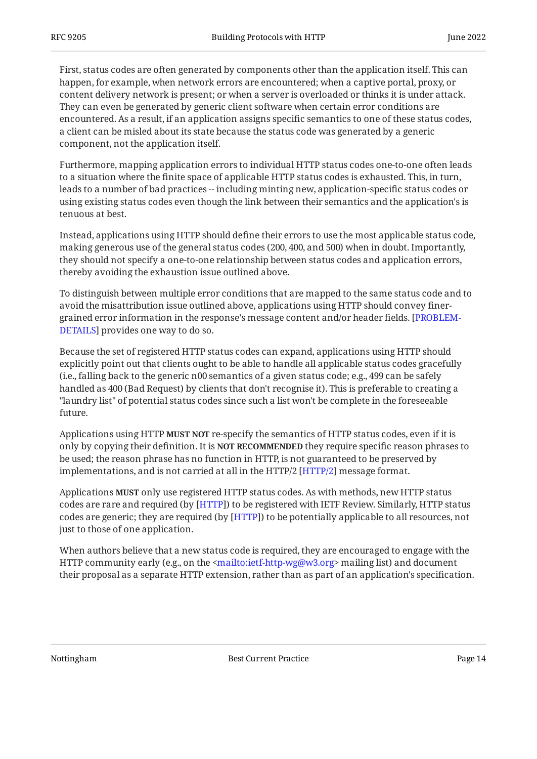First, status codes are often generated by components other than the application itself. This can happen, for example, when network errors are encountered; when a captive portal, proxy, or content delivery network is present; or when a server is overloaded or thinks it is under attack. They can even be generated by generic client software when certain error conditions are encountered. As a result, if an application assigns specific semantics to one of these status codes, a client can be misled about its state because the status code was generated by a generic component, not the application itself.

Furthermore, mapping application errors to individual HTTP status codes one-to-one often leads to a situation where the finite space of applicable HTTP status codes is exhausted. This, in turn, leads to a number of bad practices -- including minting new, application-specific status codes or using existing status codes even though the link between their semantics and the application's is tenuous at best.

Instead, applications using HTTP should define their errors to use the most applicable status code, making generous use of the general status codes (200, 400, and 500) when in doubt. Importantly, they should not specify a one-to-one relationship between status codes and application errors, thereby avoiding the exhaustion issue outlined above.

To distinguish between multiple error conditions that are mapped to the same status code and to avoid the misattribution issue outlined above, applications using HTTP should convey finergrained error information in the response's message content and/or header fields. [\[PROBLEM-](#page-24-11)[DETAILS](#page-24-11)] provides one way to do so.

Because the set of registered HTTP status codes can expand, applications using HTTP should explicitly point out that clients ought to be able to handle all applicable status codes gracefully (i.e., falling back to the generic n00 semantics of a given status code; e.g., 499 can be safely handled as 400 (Bad Request) by clients that don't recognise it). This is preferable to creating a "laundry list" of potential status codes since such a list won't be complete in the foreseeable future.

Applications using HTTP **MUST NOT** re-specify the semantics of HTTP status codes, even if it is only by copying their definition. It is **NOT RECOMMENDED** they require specific reason phrases to be used; the reason phrase has no function in HTTP, is not guaranteed to be preserved by implementations, and is not carried at all in the HTTP/2 [HTTP/2] message format.

Applications **MUST** only use registered HTTP status codes. As with methods, new HTTP status codes are rare and required (by  $[HTTP]$ ) to be registered with IETF Review. Similarly, HTTP status codes are generic; they are required (by [HTTP]) to be potentially applicable to all resources, not just to those of one application.

When authors believe that a new status code is required, they are encouraged to engage with the HTTP community early (e.g., on the <mailto:ietf-http-wg@w3.org> mailing list) and document their proposal as a separate HTTP extension, rather than as part of an application's specification.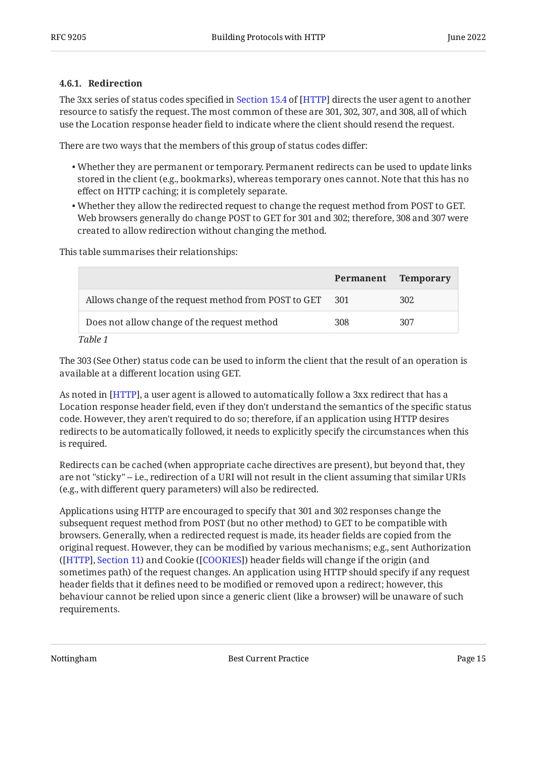#### <span id="page-14-0"></span>**[4.6.1. Redirection](#page-14-0)**

The3xx series of status codes specified in Section 15.4 of [HTTP] directs the user agent to another resource to satisfy the request. The most common of these are 301, 302, 307, and 308, all of which use the Location response header field to indicate where the client should resend the request.

There are two ways that the members of this group of status codes differ:

- Whether they are permanent or temporary. Permanent redirects can be used to update links stored in the client (e.g., bookmarks), whereas temporary ones cannot. Note that this has no effect on HTTP caching; it is completely separate.
- Whether they allow the redirected request to change the request method from POST to GET. Web browsers generally do change POST to GET for 301 and 302; therefore, 308 and 307 were created to allow redirection without changing the method.

This table summarises their relationships:

<span id="page-14-1"></span>

|                                                          | Permanent | <b>Temporary</b> |
|----------------------------------------------------------|-----------|------------------|
| Allows change of the request method from POST to GET 301 |           | 302              |
| Does not allow change of the request method              | 308       | 307              |
| $T_{\alpha}$ $\sim$ 1.1. $\alpha$ 1.1.                   |           |                  |

*[Table 1](#page-14-1)*

The 303 (See Other) status code can be used to inform the client that the result of an operation is available at a different location using GET.

As noted in [\[HTTP](#page-23-2)], a user agent is allowed to automatically follow a 3xx redirect that has a Location response header field, even if they don't understand the semantics of the specific status code. However, they aren't required to do so; therefore, if an application using HTTP desires redirects to be automatically followed, it needs to explicitly specify the circumstances when this is required.

Redirects can be cached (when appropriate cache directives are present), but beyond that, they are not "sticky" -- i.e., redirection of a URI will not result in the client assuming that similar URIs (e.g., with different query parameters) will also be redirected.

Applications using HTTP are encouraged to specify that 301 and 302 responses change the subsequent request method from POST (but no other method) to GET to be compatible with browsers. Generally, when a redirected request is made, its header fields are copied from the original request. However, they can be modified by various mechanisms; e.g., sent Authorization ([HTTP], Section 11) and Cookie ([[COOKIES\]](#page-24-7)) header fields will change if the origin (and sometimes path) of the request changes. An application using HTTP should specify if any request header fields that it defines need to be modified or removed upon a redirect; however, this behaviour cannot be relied upon since a generic client (like a browser) will be unaware of such requirements.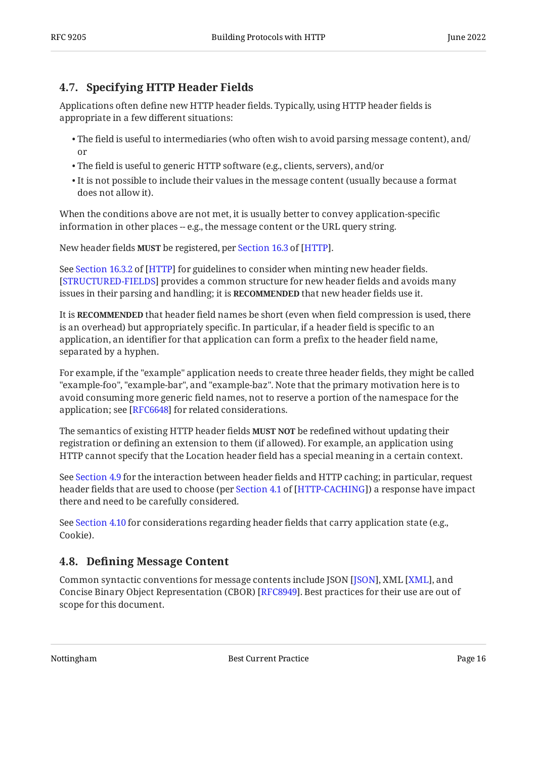## <span id="page-15-0"></span>**[4.7. Specifying HTTP Header Fields](#page-15-0)**

Applications often define new HTTP header fields. Typically, using HTTP header fields is appropriate in a few different situations:

- $\bullet$  The field is useful to intermediaries (who often wish to avoid parsing message content), and/ or
- The field is useful to generic HTTP software (e.g., clients, servers), and/or •
- $\bullet$  It is not possible to include their values in the message content (usually because a format does not allow it).

When the conditions above are not met, it is usually better to convey application-specific information in other places -- e.g., the message content or the URL query string.

Newheader fields MUST be registered, per Section 16.3 of [HTTP].

SeeSection 16.3.2 of [HTTP] for guidelines to consider when minting new header fields. [[STRUCTURED-FIELDS\]](#page-24-12) provides a common structure for new header fields and avoids many issues in their parsing and handling; it is **RECOMMENDED** that new header fields use it.

It is **RECOMMENDED** that header field names be short (even when field compression is used, there is an overhead) but appropriately specific. In particular, if a header field is specific to an application, an identifier for that application can form a prefix to the header field name, separated by a hyphen.

For example, if the "example" application needs to create three header fields, they might be called "example-foo", "example-bar", and "example-baz". Note that the primary motivation here is to avoid consuming more generic field names, not to reserve a portion of the namespace for the application; see [RFC6648] for related considerations.

The semantics of existing HTTP header fields **MUST NOT** be redefined without updating their registration or defining an extension to them (if allowed). For example, an application using HTTP cannot specify that the Location header field has a special meaning in a certain context.

See [Section 4.9](#page-16-0) for the interaction between header fields and HTTP caching; in particular, request headerfields that are used to choose (per Section 4.1 of [HTTP-CACHING]) a response have impact there and need to be carefully considered.

See [Section 4.10](#page-18-0) for considerations regarding header fields that carry application state (e.g., Cookie).

## <span id="page-15-1"></span>**[4.8. D](#page-15-1)efi[ning Message Content](#page-15-1)**

Common syntactic conventions for message contents include JSON [JSON], XML [XML], and Concise Binary Object Representation (CBOR) [\[RFC8949](#page-26-6)]. Best practices for their use are out of scope for this document.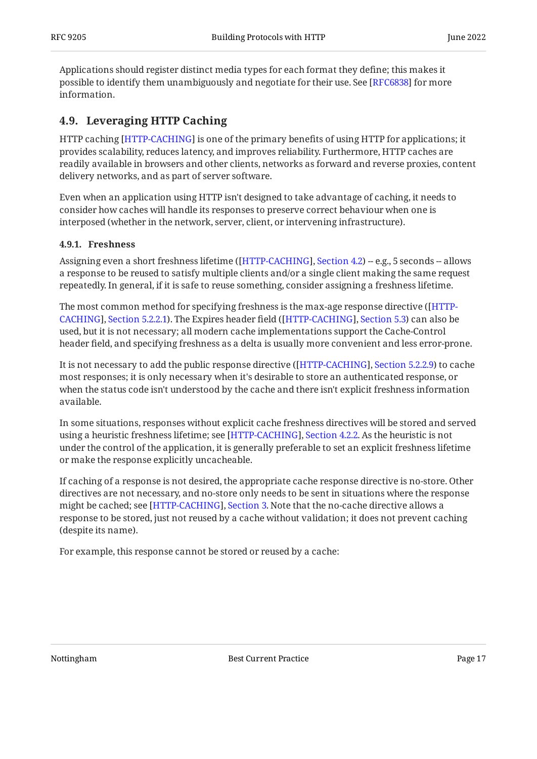Applications should register distinct media types for each format they define; this makes it possible to identify them unambiguously and negotiate for their use. See [RFC6838] for more information.

## <span id="page-16-0"></span>**[4.9. Leveraging HTTP Caching](#page-16-0)**

HTTP caching [HTTP-CACHING] is one of the primary benefits of using HTTP for applications; it provides scalability, reduces latency, and improves reliability. Furthermore, HTTP caches are readily available in browsers and other clients, networks as forward and reverse proxies, content delivery networks, and as part of server software.

Even when an application using HTTP isn't designed to take advantage of caching, it needs to consider how caches will handle its responses to preserve correct behaviour when one is interposed (whether in the network, server, client, or intervening infrastructure).

#### <span id="page-16-1"></span>**[4.9.1. Freshness](#page-16-1)**

Assigning even a short freshness lifetime ([\[HTTP-CACHING](#page-23-8)], [Section 4.2](https://www.rfc-editor.org/rfc/rfc9111#section-4.2)) -- e.g., 5 seconds -- allows a response to be reused to satisfy multiple clients and/or a single client making the same request repeatedly. In general, if it is safe to reuse something, consider assigning a freshness lifetime.

The most common method for specifying freshness is the max-age response directive ( [\[HTTP-](#page-23-8)[CACHING\]](#page-23-8), [Section 5.2.2.1](https://www.rfc-editor.org/rfc/rfc9111#section-5.2.2.1)). The Expires header field ([\[HTTP-CACHING](#page-23-8)], [Section 5.3](https://www.rfc-editor.org/rfc/rfc9111#section-5.3)) can also be used, but it is not necessary; all modern cache implementations support the Cache-Control header field, and specifying freshness as a delta is usually more convenient and less error-prone.

It is not necessary to add the public response directive ([\[HTTP-CACHING](#page-23-8)], [Section 5.2.2.9](https://www.rfc-editor.org/rfc/rfc9111#section-5.2.2.9)) to cache most responses; it is only necessary when it's desirable to store an authenticated response, or when the status code isn't understood by the cache and there isn't explicit freshness information available.

In some situations, responses without explicit cache freshness directives will be stored and served using a heuristic freshness lifetime; see [HTTP-CACHING], Section 4[.](https://www.rfc-editor.org/rfc/rfc9111#section-4.2.2)2.2. As the heuristic is not under the control of the application, it is generally preferable to set an explicit freshness lifetime or make the response explicitly uncacheable.

If caching of a response is not desired, the appropriate cache response directive is no-store. Other directives are not necessary, and no-store only needs to be sent in situations where the response might be cached; see [HTTP-CACHING], Section 3[.](https://www.rfc-editor.org/rfc/rfc9111#section-3) Note that the no-cache directive allows a response to be stored, just not reused by a cache without validation; it does not prevent caching (despite its name).

For example, this response cannot be stored or reused by a cache: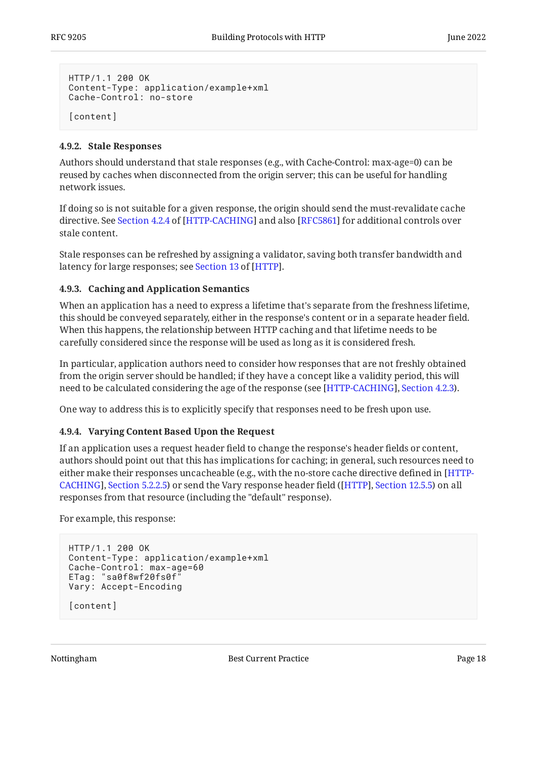```
HTTP/1.1 200 OK
Content-Type: application/example+xml
Cache-Control: no-store
[content]
```
#### <span id="page-17-0"></span>**[4.9.2. Stale Responses](#page-17-0)**

Authors should understand that stale responses (e.g., with Cache-Control: max-age=0) can be reused by caches when disconnected from the origin server; this can be useful for handling network issues.

If doing so is not suitable for a given response, the origin should send the must-revalidate cache directive.See Section 4.2.4 of [HTTP-CACHING] and also [RFC5861] for additional controls over stale content.

Stale responses can be refreshed by assigning a validator, saving both transfer bandwidth and latencyfor large responses; see <mark>Section 13 of [HTTP]</mark>.

#### <span id="page-17-1"></span>**[4.9.3. Caching and Application Semantics](#page-17-1)**

When an application has a need to express a lifetime that's separate from the freshness lifetime, this should be conveyed separately, either in the response's content or in a separate header field. When this happens, the relationship between HTTP caching and that lifetime needs to be carefully considered since the response will be used as long as it is considered fresh.

In particular, application authors need to consider how responses that are not freshly obtained from the origin server should be handled; if they have a concept like a validity period, this will need to be calculated considering the age of the response (see [\[HTTP-CACHING](#page-23-8)], [Section 4.2.3](https://www.rfc-editor.org/rfc/rfc9111#section-4.2.3)).

<span id="page-17-2"></span>One way to address this is to explicitly specify that responses need to be fresh upon use.

#### **[4.9.4. Varying Content Based Upon the Request](#page-17-2)**

If an application uses a request header field to change the response's header fields or content, authors should point out that this has implications for caching; in general, such resources need to either make their responses uncacheable (e.g., with the no-store cache directive defined in [\[HTTP-](#page-23-8)[CACHING\]](#page-23-8), [Section 5.2.2.5](https://www.rfc-editor.org/rfc/rfc9111#section-5.2.2.5)) or send the Vary response header field ([[HTTP\]](#page-23-2), [Section 12.5.5](https://www.rfc-editor.org/rfc/rfc9110#section-12.5.5)) on all responses from that resource (including the "default" response).

For example, this response:

```
HTTP/1.1 200 OK
Content-Type: application/example+xml
Cache-Control: max-age=60
ETag: "sa0f8wf20fs0f"
Vary: Accept-Encoding
[content]
```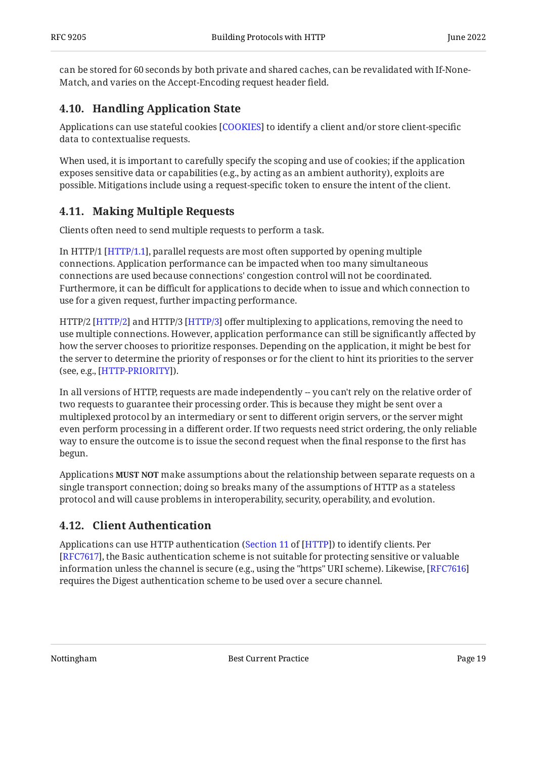can be stored for 60 seconds by both private and shared caches, can be revalidated with If-None-Match, and varies on the Accept-Encoding request header field.

## <span id="page-18-0"></span>**[4.10. Handling Application State](#page-18-0)**

Applications can use stateful cookies [COOKIES] to identify a client and/or store client-specific data to contextualise requests.

When used, it is important to carefully specify the scoping and use of cookies; if the application exposes sensitive data or capabilities (e.g., by acting as an ambient authority), exploits are possible. Mitigations include using a request-specific token to ensure the intent of the client.

## <span id="page-18-1"></span>**[4.11. Making Multiple Requests](#page-18-1)**

Clients often need to send multiple requests to perform a task.

In HTTP/1 [HTTP/1.1], parallel requests are most often supported by opening multiple connections. Application performance can be impacted when too many simultaneous connections are used because connections' congestion control will not be coordinated. Furthermore, it can be difficult for applications to decide when to issue and which connection to use for a given request, further impacting performance.

HTTP/2 [HTTP/2] and HTTP/3 [HTTP/3] offer multiplexing to applications, removing the need to use multiple connections. However, application performance can still be significantly affected by how the server chooses to prioritize responses. Depending on the application, it might be best for the server to determine the priority of responses or for the client to hint its priorities to the server (see, e.g., [\[HTTP-PRIORITY](#page-24-13)]).

In all versions of HTTP, requests are made independently -- you can't rely on the relative order of two requests to guarantee their processing order. This is because they might be sent over a multiplexed protocol by an intermediary or sent to different origin servers, or the server might even perform processing in a different order. If two requests need strict ordering, the only reliable way to ensure the outcome is to issue the second request when the final response to the first has begun.

Applications **MUST NOT** make assumptions about the relationship between separate requests on a single transport connection; doing so breaks many of the assumptions of HTTP as a stateless protocol and will cause problems in interoperability, security, operability, and evolution.

## <span id="page-18-2"></span>**[4.12. Client Authentication](#page-18-2)**

Applications can use HTTP authentication (Section 11 of [HTTP]) to identify clients. Per [[RFC7617\]](#page-25-10), the Basic authentication scheme is not suitable for protecting sensitive or valuable information unless the channel is secure (e.g., using the "https" URI scheme). Likewise, [[RFC7616\]](#page-25-11) requires the Digest authentication scheme to be used over a secure channel.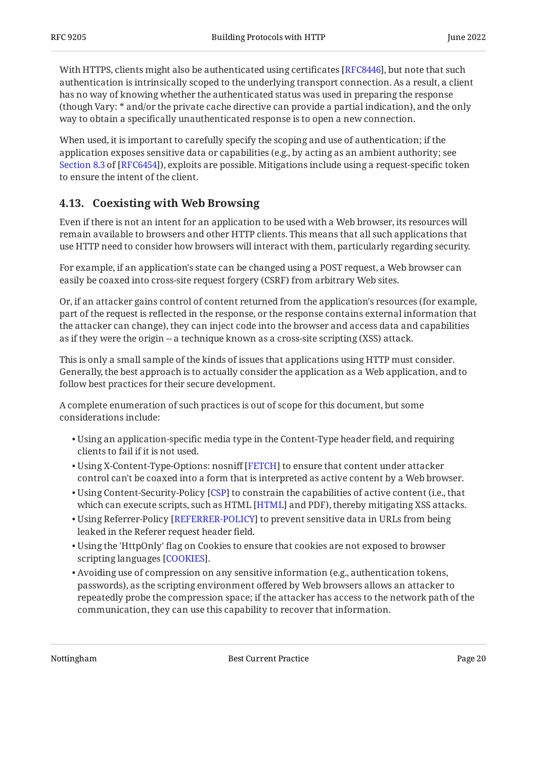With HTTPS, clients might also be authenticated using certificates [RFC8446], but note that such authentication is intrinsically scoped to the underlying transport connection. As a result, a client has no way of knowing whether the authenticated status was used in preparing the response (though Vary: \* and/or the private cache directive can provide a partial indication), and the only way to obtain a specifically unauthenticated response is to open a new connection.

When used, it is important to carefully specify the scoping and use of authentication; if the application exposes sensitive data or capabilities (e.g., by acting as an ambient authority; see [Section 8.3](https://www.rfc-editor.org/rfc/rfc6454#section-8.3) of [\[RFC6454\]](#page-23-7)), exploits are possible. Mitigations include using a request-specific token to ensure the intent of the client.

## <span id="page-19-0"></span>**[4.13. Coexisting with Web Browsing](#page-19-0)**

Even if there is not an intent for an application to be used with a Web browser, its resources will remain available to browsers and other HTTP clients. This means that all such applications that use HTTP need to consider how browsers will interact with them, particularly regarding security.

For example, if an application's state can be changed using a POST request, a Web browser can easily be coaxed into cross-site request forgery (CSRF) from arbitrary Web sites.

Or, if an attacker gains control of content returned from the application's resources (for example, part of the request is reflected in the response, or the response contains external information that the attacker can change), they can inject code into the browser and access data and capabilities as if they were the origin -- a technique known as a cross-site scripting (XSS) attack.

This is only a small sample of the kinds of issues that applications using HTTP must consider. Generally, the best approach is to actually consider the application as a Web application, and to follow best practices for their secure development.

A complete enumeration of such practices is out of scope for this document, but some considerations include:

- Using an application-specific media type in the Content-Type header field, and requiring clients to fail if it is not used.
- $\bullet$  Using X-Content-Type-Options: nosniff [[FETCH](#page-24-6)] to ensure that content under attacker control can't be coaxed into a form that is interpreted as active content by a Web browser.
- $\bullet$  Using Content-Security-Policy [[CSP\]](#page-24-14) to constrain the capabilities of active content (i.e., that which can execute scripts, such as  $HTML$   $[HTML]$  and PDF), thereby mitigating XSS attacks.
- $\bullet$  Using Referrer-Policy [REFERRER-POLICY] to prevent sensitive data in URLs from being leaked in the Referer request header field.
- Using the 'HttpOnly' flag on Cookies to ensure that cookies are not exposed to browser scripting languages [COOKIES].
- Avoiding use of compression on any sensitive information (e.g., authentication tokens, passwords), as the scripting environment offered by Web browsers allows an attacker to repeatedly probe the compression space; if the attacker has access to the network path of the communication, they can use this capability to recover that information.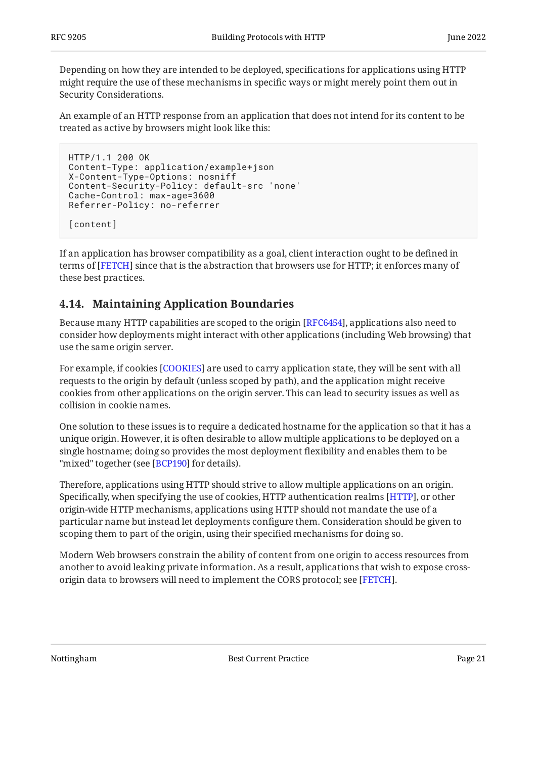Depending on how they are intended to be deployed, specifications for applications using HTTP might require the use of these mechanisms in specific ways or might merely point them out in Security Considerations.

An example of an HTTP response from an application that does not intend for its content to be treated as active by browsers might look like this:

```
HTTP/1.1 200 OK
Content-Type: application/example+json
X-Content-Type-Options: nosniff
Content-Security-Policy: default-src 'none'
Cache-Control: max-age=3600
Referrer-Policy: no-referrer
[content]
```
If an application has browser compatibility as a goal, client interaction ought to be defined in terms of [FETCH] since that is the abstraction that browsers use for HTTP; it enforces many of these best practices.

## <span id="page-20-0"></span>**[4.14. Maintaining Application Boundaries](#page-20-0)**

Because many HTTP capabilities are scoped to the origin [[RFC6454\]](#page-23-7), applications also need to consider how deployments might interact with other applications (including Web browsing) that use the same origin server.

For example, if cookies [COOKIES] are used to carry application state, they will be sent with all requests to the origin by default (unless scoped by path), and the application might receive cookies from other applications on the origin server. This can lead to security issues as well as collision in cookie names.

One solution to these issues is to require a dedicated hostname for the application so that it has a unique origin. However, it is often desirable to allow multiple applications to be deployed on a single hostname; doing so provides the most deployment flexibility and enables them to be "mixed" together (see [BCP190] for details).

Therefore, applications using HTTP should strive to allow multiple applications on an origin. Specifically, when specifying the use of cookies, HTTP authentication realms [HTTP], or other origin-wide HTTP mechanisms, applications using HTTP should not mandate the use of a particular name but instead let deployments configure them. Consideration should be given to scoping them to part of the origin, using their specified mechanisms for doing so.

Modern Web browsers constrain the ability of content from one origin to access resources from another to avoid leaking private information. As a result, applications that wish to expose crossorigin data to browsers will need to implement the CORS protocol; see [FETCH].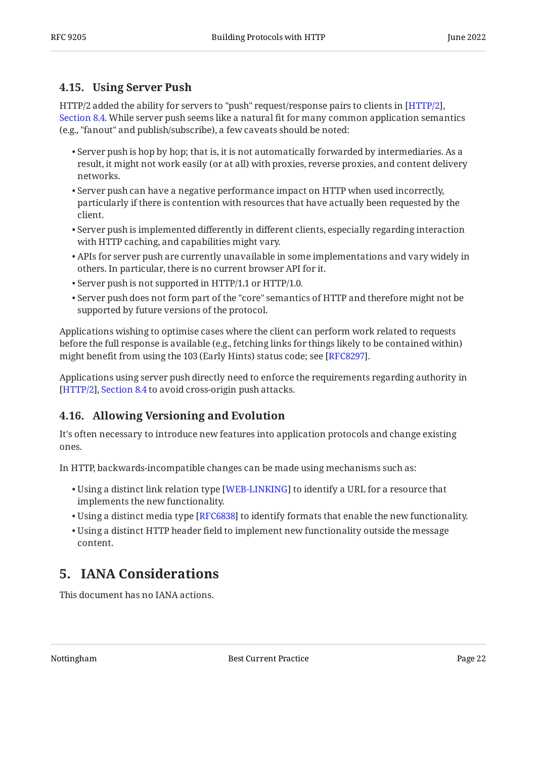### <span id="page-21-0"></span>**[4.15. Using Server Push](#page-21-0)**

HTTP/2 added the ability for servers to "push" request/response pairs to clients in [[HTTP/2](#page-24-2)], [Section 8.4](https://www.rfc-editor.org/rfc/rfc9113#section-8.4). While server push seems like a natural fit for many common application semantics (e.g., "fanout" and publish/subscribe), a few caveats should be noted:

- $\bullet$  Server push is hop by hop; that is, it is not automatically forwarded by intermediaries. As a result, it might not work easily (or at all) with proxies, reverse proxies, and content delivery networks.
- $\bullet$  Server push can have a negative performance impact on HTTP when used incorrectly, particularly if there is contention with resources that have actually been requested by the client.
- $\bullet$  Server push is implemented differently in different clients, especially regarding interaction with HTTP caching, and capabilities might vary.
- APIs for server push are currently unavailable in some implementations and vary widely in others. In particular, there is no current browser API for it.
- Server push is not supported in HTTP/1.1 or HTTP/1.0. •
- $\bullet$  Server push does not form part of the "core" semantics of HTTP and therefore might not be supported by future versions of the protocol.

Applications wishing to optimise cases where the client can perform work related to requests before the full response is available (e.g., fetching links for things likely to be contained within) might benefit from using the 103 (Early Hints) status code; see [\[RFC8297](#page-25-13)].

Applications using server push directly need to enforce the requirements regarding authority in [[HTTP/2](#page-24-2)], [Section 8.4](https://www.rfc-editor.org/rfc/rfc9113#section-8.4) to avoid cross-origin push attacks.

## <span id="page-21-1"></span>**[4.16. Allowing Versioning and Evolution](#page-21-1)**

It's often necessary to introduce new features into application protocols and change existing ones.

In HTTP, backwards-incompatible changes can be made using mechanisms such as:

- $\bullet$  Using a distinct link relation type [\[WEB-LINKING](#page-24-1)] to identify a URL for a resource that implements the new functionality.
- $\bullet$  Using a distinct media type [[RFC6838\]](#page-23-6) to identify formats that enable the new functionality.
- Using a distinct HTTP header field to implement new functionality outside the message content.

## <span id="page-21-2"></span>**[5. IANA Considerations](#page-21-2)**

This document has no IANA actions.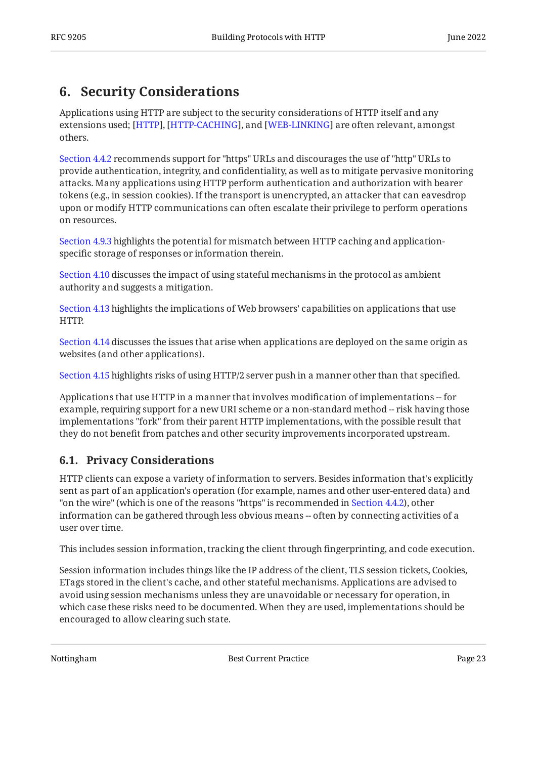## <span id="page-22-0"></span>**[6. Security Considerations](#page-22-0)**

Applications using HTTP are subject to the security considerations of HTTP itself and any extensions used; [HTTP], [HTTP-CACHING], and [WEB-LINKING] are often relevant, amongst others.

[Section 4.4.2](#page-10-0) recommends support for "https" URLs and discourages the use of "http" URLs to provide authentication, integrity, and confidentiality, as well as to mitigate pervasive monitoring attacks. Many applications using HTTP perform authentication and authorization with bearer tokens (e.g., in session cookies). If the transport is unencrypted, an attacker that can eavesdrop upon or modify HTTP communications can often escalate their privilege to perform operations on resources.

[Section 4.9.3](#page-17-1) highlights the potential for mismatch between HTTP caching and applicationspecific storage of responses or information therein.

[Section 4.10](#page-18-0) discusses the impact of using stateful mechanisms in the protocol as ambient authority and suggests a mitigation.

[Section 4.13](#page-19-0) highlights the implications of Web browsers' capabilities on applications that use HTTP.

[Section 4.14](#page-20-0) discusses the issues that arise when applications are deployed on the same origin as websites (and other applications).

[Section 4.15](#page-21-0) highlights risks of using HTTP/2 server push in a manner other than that specified.

Applications that use HTTP in a manner that involves modification of implementations -- for example, requiring support for a new URI scheme or a non-standard method -- risk having those implementations "fork" from their parent HTTP implementations, with the possible result that they do not benefit from patches and other security improvements incorporated upstream.

## <span id="page-22-1"></span>**[6.1. Privacy Considerations](#page-22-1)**

HTTP clients can expose a variety of information to servers. Besides information that's explicitly sent as part of an application's operation (for example, names and other user-entered data) and "on the wire" (which is one of the reasons "https" is recommended in [Section 4.4.2\)](#page-10-0), other information can be gathered through less obvious means -- often by connecting activities of a user over time.

This includes session information, tracking the client through fingerprinting, and code execution.

Session information includes things like the IP address of the client, TLS session tickets, Cookies, ETags stored in the client's cache, and other stateful mechanisms. Applications are advised to avoid using session mechanisms unless they are unavoidable or necessary for operation, in which case these risks need to be documented. When they are used, implementations should be encouraged to allow clearing such state.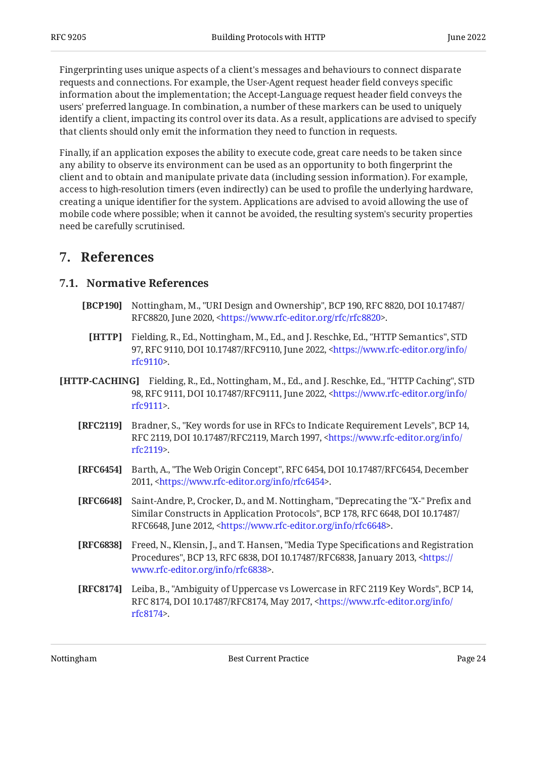Fingerprinting uses unique aspects of a client's messages and behaviours to connect disparate requests and connections. For example, the User-Agent request header field conveys specific information about the implementation; the Accept-Language request header field conveys the users' preferred language. In combination, a number of these markers can be used to uniquely identify a client, impacting its control over its data. As a result, applications are advised to specify that clients should only emit the information they need to function in requests.

Finally, if an application exposes the ability to execute code, great care needs to be taken since any ability to observe its environment can be used as an opportunity to both fingerprint the client and to obtain and manipulate private data (including session information). For example, access to high-resolution timers (even indirectly) can be used to profile the underlying hardware, creating a unique identifier for the system. Applications are advised to avoid allowing the use of mobile code where possible; when it cannot be avoided, the resulting system's security properties need be carefully scrutinised.

## <span id="page-23-1"></span><span id="page-23-0"></span>**[7. References](#page-23-0)**

### <span id="page-23-5"></span>**[7.1. Normative References](#page-23-1)**

- <span id="page-23-2"></span>**[BCP190]** Nottingham, M., "URI Design and Ownership", BCP 190, RFC 8820, DOI 10.17487/ RFC8820, June 2020, [<https://www.rfc-editor.org/rfc/rfc8820>](https://www.rfc-editor.org/rfc/rfc8820).
	- **[HTTP]** Fielding, R., Ed., Nottingham, M., Ed., and J. Reschke, Ed., "HTTP Semantics", STD 97, RFC 9110, DOI 10.17487/RFC9110, June 2022, [<https://www.rfc-editor.org/info/](https://www.rfc-editor.org/info/rfc9110) . [rfc9110](https://www.rfc-editor.org/info/rfc9110)>
- <span id="page-23-9"></span><span id="page-23-8"></span><span id="page-23-7"></span><span id="page-23-3"></span>**[HTTP-CACHING]** Fielding, R., Ed., Nottingham, M., Ed., and J. Reschke, Ed., "HTTP Caching", STD 98, RFC 9111, DOI 10.17487/RFC9111, June 2022, [<https://www.rfc-editor.org/info/](https://www.rfc-editor.org/info/rfc9111) . [rfc9111](https://www.rfc-editor.org/info/rfc9111)>
	- **[RFC2119]** Bradner, S., "Key words for use in RFCs to Indicate Requirement Levels", BCP 14, RFC 2119, DOI 10.17487/RFC2119, March 1997, [<https://www.rfc-editor.org/info/](https://www.rfc-editor.org/info/rfc2119) . [rfc2119](https://www.rfc-editor.org/info/rfc2119)>
	- **[RFC6454]** Barth, A., "The Web Origin Concept", RFC 6454, DOI 10.17487/RFC6454, December 2011, <[https://www.rfc-editor.org/info/rfc6454>](https://www.rfc-editor.org/info/rfc6454).
	- **[RFC6648]** Saint-Andre, P., Crocker, D., and M. Nottingham, "Deprecating the "X-" Prefix and Similar Constructs in Application Protocols", BCP 178, RFC 6648, DOI 10.17487/ RFC6648, June 2012, <https://www.rfc-editor.org/info/rfc6648>.
	- **[RFC6838]** Freed, N., Klensin, J., and T. Hansen, "Media Type Specifications and Registration Procedures", BCP 13, RFC 6838, DOI 10.17487/RFC6838, January 2013, [<https://](https://www.rfc-editor.org/info/rfc6838) . [www.rfc-editor.org/info/rfc6838>](https://www.rfc-editor.org/info/rfc6838)
	- **[RFC8174]** Leiba, B., "Ambiguity of Uppercase vs Lowercase in RFC 2119 Key Words", BCP 14, RFC 8174, DOI 10.17487/RFC8174, May 2017, <[https://www.rfc-editor.org/info/](https://www.rfc-editor.org/info/rfc8174) . [rfc8174](https://www.rfc-editor.org/info/rfc8174)>

<span id="page-23-6"></span><span id="page-23-4"></span>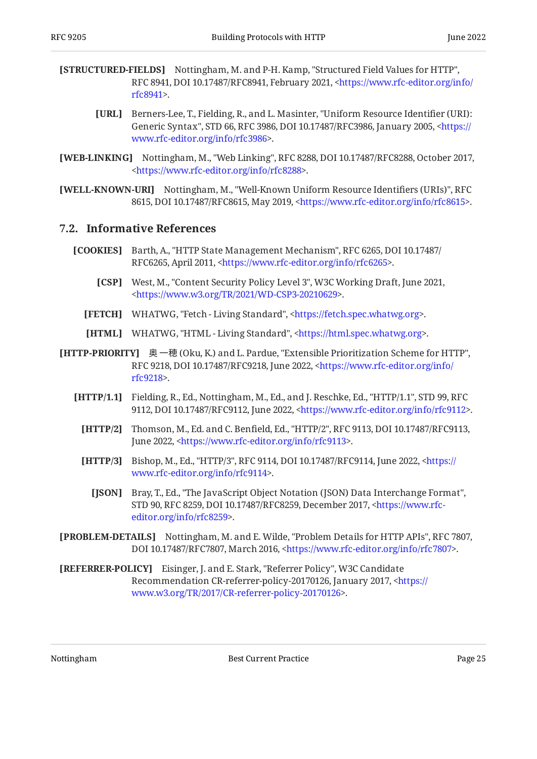- <span id="page-24-12"></span><span id="page-24-8"></span>**[STRUCTURED-FIELDS]** Nottingham, M. and P-H. Kamp, "Structured Field Values for HTTP", RFC 8941, DOI 10.17487/RFC8941, February 2021, [<https://www.rfc-editor.org/info/](https://www.rfc-editor.org/info/rfc8941) . [rfc8941](https://www.rfc-editor.org/info/rfc8941)>
	- **[URL]** Berners-Lee, T., Fielding, R., and L. Masinter, "Uniform Resource Identifier (URI): Generic Syntax", STD 66, RFC 3986, DOI 10.17487/RFC3986, January 2005, [<https://](https://www.rfc-editor.org/info/rfc3986) . [www.rfc-editor.org/info/rfc3986>](https://www.rfc-editor.org/info/rfc3986)
- <span id="page-24-1"></span>**[WEB-LINKING]** Nottingham, M., "Web Linking", RFC 8288, DOI 10.17487/RFC8288, October 2017, . [<https://www.rfc-editor.org/info/rfc8288](https://www.rfc-editor.org/info/rfc8288)>
- <span id="page-24-9"></span>**[WELL-KNOWN-URI]** Nottingham, M., "Well-Known Uniform Resource Identifiers (URIs)", RFC 8615, DOI 10.17487/RFC8615, May 2019, <https://www.rfc-editor.org/info/rfc8615>.

#### <span id="page-24-0"></span>**[7.2. Informative References](#page-24-0)**

- <span id="page-24-14"></span><span id="page-24-7"></span>**[COOKIES]** Barth, A., "HTTP State Management Mechanism", RFC 6265, DOI 10.17487/ RFC6265, April 2011, <https://www.rfc-editor.org/info/rfc6265>.
	- **[CSP]** West, M., "Content Security Policy Level 3", W3C Working Draft, June 2021, . [<https://www.w3.org/TR/2021/WD-CSP3-20210629>](https://www.w3.org/TR/2021/WD-CSP3-20210629)
	- **[FETCH]** WHATWG, "Fetch Living Standard", <[https://fetch.spec.whatwg.org>](https://fetch.spec.whatwg.org).
	- **[HTML]** WHATWG, "HTML Living Standard", [<https://html.spec.whatwg.org](https://html.spec.whatwg.org)>.
- <span id="page-24-13"></span><span id="page-24-10"></span><span id="page-24-6"></span><span id="page-24-4"></span><span id="page-24-2"></span>**[HTTP-PRIORITY]** 奥 一穂 (Oku, K.) and L. Pardue, "Extensible Prioritization Scheme for HTTP", RFC 9218, DOI 10.17487/RFC9218, June 2022, [<https://www.rfc-editor.org/info/](https://www.rfc-editor.org/info/rfc9218) . [rfc9218](https://www.rfc-editor.org/info/rfc9218)>
	- **[HTTP/1.1]** Fielding, R., Ed., Nottingham, M., Ed., and J. Reschke, Ed., "HTTP/1.1", STD 99, RFC 9112, DOI 10.17487/RFC9112, June 2022, [<https://www.rfc-editor.org/info/rfc9112](https://www.rfc-editor.org/info/rfc9112)>.
		- **[HTTP/2]** Thomson, M., Ed. and C. Benfield, Ed., "HTTP/2", RFC 9113, DOI 10.17487/RFC9113, June 2022, <[https://www.rfc-editor.org/info/rfc9113>](https://www.rfc-editor.org/info/rfc9113).
		- **[HTTP/3]** Bishop, M., Ed., "HTTP/3", RFC 9114, DOI 10.17487/RFC9114, June 2022, [<https://](https://www.rfc-editor.org/info/rfc9114) . [www.rfc-editor.org/info/rfc9114>](https://www.rfc-editor.org/info/rfc9114)
			- **[JSON]** Bray, T., Ed., "The JavaScript Object Notation (JSON) Data Interchange Format", STD 90, RFC 8259, DOI 10.17487/RFC8259, December 2017, [<https://www.rfc-](https://www.rfc-editor.org/info/rfc8259). [editor.org/info/rfc8259](https://www.rfc-editor.org/info/rfc8259)>
- <span id="page-24-11"></span><span id="page-24-5"></span><span id="page-24-3"></span>**[PROBLEM-DETAILS]** Nottingham, M. and E. Wilde, "Problem Details for HTTP APIs", RFC 7807, DOI 10.17487/RFC7807, March 2016, <https://www.rfc-editor.org/info/rfc7807>.
- <span id="page-24-15"></span>**[REFERRER-POLICY]** Eisinger, J. and E. Stark, "Referrer Policy", W3C Candidate Recommendation CR-referrer-policy-20170126, January 2017, [<https://](https://www.w3.org/TR/2017/CR-referrer-policy-20170126) . [www.w3.org/TR/2017/CR-referrer-policy-20170126>](https://www.w3.org/TR/2017/CR-referrer-policy-20170126)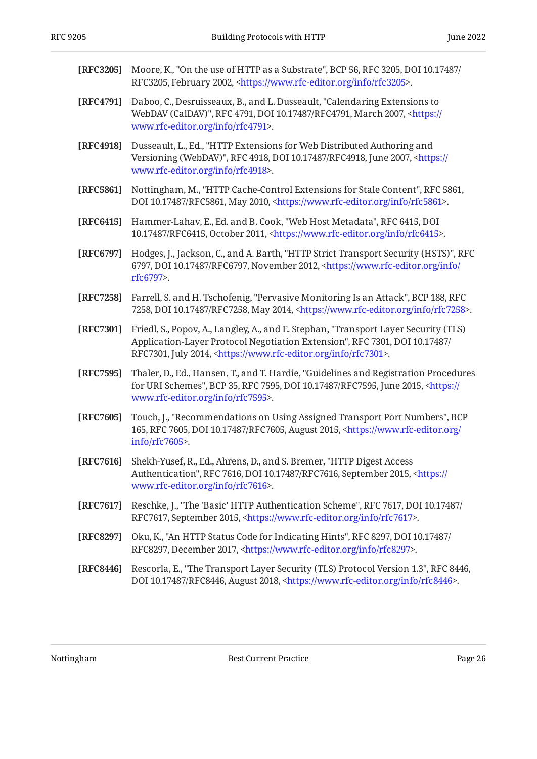<span id="page-25-9"></span><span id="page-25-8"></span><span id="page-25-7"></span><span id="page-25-6"></span><span id="page-25-3"></span><span id="page-25-2"></span><span id="page-25-1"></span><span id="page-25-0"></span>

| [RFC3205] | Moore, K., "On the use of HTTP as a Substrate", BCP 56, RFC 3205, DOI 10.17487/<br>RFC3205, February 2002, <https: info="" rfc3205="" www.rfc-editor.org="">.</https:>                                                                               |
|-----------|------------------------------------------------------------------------------------------------------------------------------------------------------------------------------------------------------------------------------------------------------|
| [RFC4791] | Daboo, C., Desruisseaux, B., and L. Dusseault, "Calendaring Extensions to<br>WebDAV (CalDAV)", RFC 4791, DOI 10.17487/RFC4791, March 2007, <https: <br="">www.rfc-editor.org/info/rfc4791&gt;.</https:>                                              |
| [RFC4918] | Dusseault, L., Ed., "HTTP Extensions for Web Distributed Authoring and<br>Versioning (WebDAV)", RFC 4918, DOI 10.17487/RFC4918, June 2007, <https: <br="">www.rfc-editor.org/info/rfc4918&gt;.</https:>                                              |
| [RFC5861] | Nottingham, M., "HTTP Cache-Control Extensions for Stale Content", RFC 5861,<br>DOI 10.17487/RFC5861, May 2010, <https: info="" rfc5861="" www.rfc-editor.org="">.</https:>                                                                          |
| [RFC6415] | Hammer-Lahav, E., Ed. and B. Cook, "Web Host Metadata", RFC 6415, DOI<br>10.17487/RFC6415, October 2011, <https: info="" rfc6415="" www.rfc-editor.org="">.</https:>                                                                                 |
| [RFC6797] | Hodges, J., Jackson, C., and A. Barth, "HTTP Strict Transport Security (HSTS)", RFC<br>6797, DOI 10.17487/RFC6797, November 2012, <https: <br="" info="" www.rfc-editor.org="">rfc6797&gt;.</https:>                                                 |
| [RFC7258] | Farrell, S. and H. Tschofenig, "Pervasive Monitoring Is an Attack", BCP 188, RFC<br>7258, DOI 10.17487/RFC7258, May 2014, <https: info="" rfc7258="" www.rfc-editor.org="">.</https:>                                                                |
| [RFC7301] | Friedl, S., Popov, A., Langley, A., and E. Stephan, "Transport Layer Security (TLS)<br>Application-Layer Protocol Negotiation Extension", RFC 7301, DOI 10.17487/<br>RFC7301, July 2014, <https: info="" rfc7301="" www.rfc-editor.org="">.</https:> |
| [RFC7595] | Thaler, D., Ed., Hansen, T., and T. Hardie, "Guidelines and Registration Procedures<br>for URI Schemes", BCP 35, RFC 7595, DOI 10.17487/RFC7595, June 2015, <https: <br="">www.rfc-editor.org/info/rfc7595&gt;.</https:>                             |
| [RFC7605] | Touch, J., "Recommendations on Using Assigned Transport Port Numbers", BCP<br>165, RFC 7605, DOI 10.17487/RFC7605, August 2015, <https: <br="" www.rfc-editor.org="">info/rfc7605&gt;.</https:>                                                      |
| [RFC7616] | Shekh-Yusef, R., Ed., Ahrens, D., and S. Bremer, "HTTP Digest Access<br>Authentication", RFC 7616, DOI 10.17487/RFC7616, September 2015, <https: <br="">www.rfc-editor.org/info/rfc7616&gt;.</https:>                                                |
| [RFC7617] | Reschke, J., "The 'Basic' HTTP Authentication Scheme", RFC 7617, DOI 10.17487/<br>RFC7617, September 2015, <https: info="" rfc7617="" www.rfc-editor.org="">.</https:>                                                                               |
| [RFC8297] | Oku, K., "An HTTP Status Code for Indicating Hints", RFC 8297, DOI 10.17487/<br>RFC8297, December 2017, <https: info="" rfc8297="" www.rfc-editor.org="">.</https:>                                                                                  |
| [RFC8446] | Rescorla, E., "The Transport Layer Security (TLS) Protocol Version 1.3", RFC 8446,<br>DOI 10.17487/RFC8446, August 2018, <https: info="" rfc8446="" www.rfc-editor.org="">.</https:>                                                                 |

<span id="page-25-13"></span><span id="page-25-12"></span><span id="page-25-11"></span><span id="page-25-10"></span><span id="page-25-5"></span><span id="page-25-4"></span>